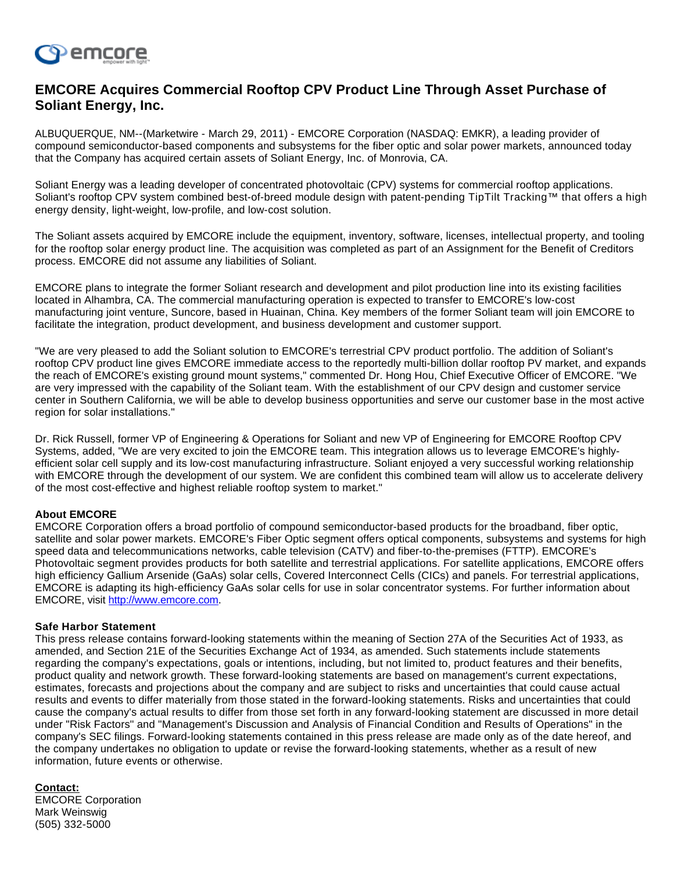

## **EMCORE Acquires Commercial Rooftop CPV Product Line Through Asset Purchase of Soliant Energy, Inc.**

ALBUQUERQUE, NM--(Marketwire - March 29, 2011) - EMCORE Corporation (NASDAQ: EMKR), a leading provider of compound semiconductor-based components and subsystems for the fiber optic and solar power markets, announced today that the Company has acquired certain assets of Soliant Energy, Inc. of Monrovia, CA.

Soliant Energy was a leading developer of concentrated photovoltaic (CPV) systems for commercial rooftop applications. Soliant's rooftop CPV system combined best-of-breed module design with patent-pending TipTilt Tracking™ that offers a high energy density, light-weight, low-profile, and low-cost solution.

The Soliant assets acquired by EMCORE include the equipment, inventory, software, licenses, intellectual property, and tooling for the rooftop solar energy product line. The acquisition was completed as part of an Assignment for the Benefit of Creditors process. EMCORE did not assume any liabilities of Soliant.

EMCORE plans to integrate the former Soliant research and development and pilot production line into its existing facilities located in Alhambra, CA. The commercial manufacturing operation is expected to transfer to EMCORE's low-cost manufacturing joint venture, Suncore, based in Huainan, China. Key members of the former Soliant team will join EMCORE to facilitate the integration, product development, and business development and customer support.

"We are very pleased to add the Soliant solution to EMCORE's terrestrial CPV product portfolio. The addition of Soliant's rooftop CPV product line gives EMCORE immediate access to the reportedly multi-billion dollar rooftop PV market, and expands the reach of EMCORE's existing ground mount systems," commented Dr. Hong Hou, Chief Executive Officer of EMCORE. "We are very impressed with the capability of the Soliant team. With the establishment of our CPV design and customer service center in Southern California, we will be able to develop business opportunities and serve our customer base in the most active region for solar installations."

Dr. Rick Russell, former VP of Engineering & Operations for Soliant and new VP of Engineering for EMCORE Rooftop CPV Systems, added, "We are very excited to join the EMCORE team. This integration allows us to leverage EMCORE's highlyefficient solar cell supply and its low-cost manufacturing infrastructure. Soliant enjoyed a very successful working relationship with EMCORE through the development of our system. We are confident this combined team will allow us to accelerate delivery of the most cost-effective and highest reliable rooftop system to market."

## **About EMCORE**

EMCORE Corporation offers a broad portfolio of compound semiconductor-based products for the broadband, fiber optic, satellite and solar power markets. EMCORE's Fiber Optic segment offers optical components, subsystems and systems for high speed data and telecommunications networks, cable television (CATV) and fiber-to-the-premises (FTTP). EMCORE's Photovoltaic segment provides products for both satellite and terrestrial applications. For satellite applications, EMCORE offers high efficiency Gallium Arsenide (GaAs) solar cells, Covered Interconnect Cells (CICs) and panels. For terrestrial applications, EMCORE is adapting its high-efficiency GaAs solar cells for use in solar concentrator systems. For further information about EMCORE, visit [http://www.emcore.com](http://www.emcore.com/).

## **Safe Harbor Statement**

This press release contains forward-looking statements within the meaning of Section 27A of the Securities Act of 1933, as amended, and Section 21E of the Securities Exchange Act of 1934, as amended. Such statements include statements regarding the company's expectations, goals or intentions, including, but not limited to, product features and their benefits, product quality and network growth. These forward-looking statements are based on management's current expectations, estimates, forecasts and projections about the company and are subject to risks and uncertainties that could cause actual results and events to differ materially from those stated in the forward-looking statements. Risks and uncertainties that could cause the company's actual results to differ from those set forth in any forward-looking statement are discussed in more detail under "Risk Factors" and "Management's Discussion and Analysis of Financial Condition and Results of Operations" in the company's SEC filings. Forward-looking statements contained in this press release are made only as of the date hereof, and the company undertakes no obligation to update or revise the forward-looking statements, whether as a result of new information, future events or otherwise.

## **Contact:**

EMCORE Corporation Mark Weinswig (505) 332-5000